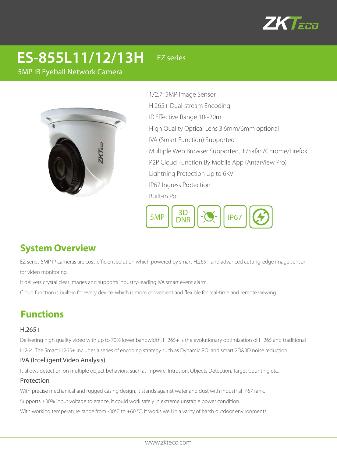

# **ES-855L11/12/13H** │EZ series

5MP IR Eyeball Network Camera



· 1/2.7" 5MP Image Sensor

- · H.265+ Dual-stream Encoding
- · IR Effective Range 10~20m
- · High Quality Optical Lens 3.6mm/6mm optional
- · IVA (Smart Function) Supported
- · Multiple Web Browser Supported, IE/Safari/Chrome/Firefox
- · P2P Cloud Function By Mobile App (AntarView Pro)
- · Lightning Protection Up to 6KV
- · IP67 Ingress Protection
- · Built-in PoE



## **System Overview**

EZ series 5MP IP cameras are cost-efficient solution which powered by smart H.265+ and advanced cutting-edge image sensor for video monitoring.

It delivers crystal clear images and supports industry-leading IVA smart event alarm.

Cloud function is built-in for every device, which is more convenient and flexible for real-time and remote viewing.

# **Functions**

#### H.265+

Delivering high quality video with up to 70% lower bandwidth. H.265+ is the evolutionary optimization of H.265 and traditional H.264. The Smart H.265+ includes a series of encoding strategy such as Dynamic ROI and smart 2D&3D noise reduction.

#### IVA (Intelligent Video Analysis)

It allows detection on multiple object behaviors, such as Tripwire, Intrusion, Objects Detection, Target Counting etc.

#### Protection

With precise mechanical and rugged casing design, it stands against water and dust with industrial IP67 rank.

Supports ±30% input voltage tolerance, it could work safely in extreme unstable power condition.

With working temperature range from -30°C to +60 °C, it works well in a varity of harsh outdoor environments.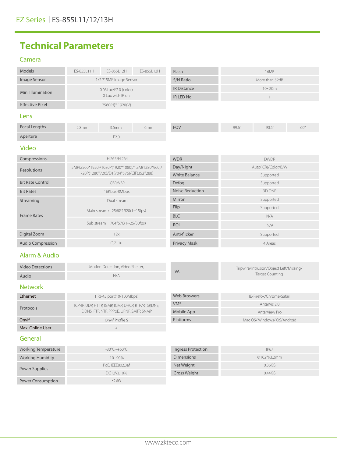# **Technical Parameters**

### Camera

| Models                                                                                                    | ES-855L11H                              | ES-855L12H                                         | ES-855L13H           | Flash                                   | <b>16MB</b>                 |              |            |
|-----------------------------------------------------------------------------------------------------------|-----------------------------------------|----------------------------------------------------|----------------------|-----------------------------------------|-----------------------------|--------------|------------|
| Image Sensor                                                                                              | 1/2.7" 5MP Image Sensor                 |                                                    |                      | S/N Ratio                               | More than 52dB              |              |            |
| Min. Illumination                                                                                         | 0.03Lux/F2.0 (color)                    |                                                    |                      | <b>IR Distance</b>                      | $10 - 20m$                  |              |            |
| 0 Lux with IR on                                                                                          |                                         |                                                    |                      | IR LED No.                              | $\mathbf{1}$                |              |            |
| <b>Effective Pixel</b>                                                                                    | 2560(H)* 1920(V)                        |                                                    |                      |                                         |                             |              |            |
| Lens                                                                                                      |                                         |                                                    |                      |                                         |                             |              |            |
| <b>Focal Lengths</b>                                                                                      | 2.8mm                                   | 3.6mm                                              | 6mm                  | <b>FOV</b>                              | $99.6^\circ$                | $90.5^\circ$ | $60^\circ$ |
| Aperture                                                                                                  |                                         | F2.0                                               |                      |                                         |                             |              |            |
| <b>Video</b>                                                                                              |                                         |                                                    |                      |                                         |                             |              |            |
| Compressions                                                                                              | H.265/H.264                             |                                                    |                      | <b>WDR</b>                              | <b>DWDR</b>                 |              |            |
| 5MP(2560*1920)/1080P(1920*1080)/1.3M(1280*960)/<br>Resolutions<br>720P(1280*720)/D1(704*576)/CIF(352*288) |                                         |                                                    |                      | Day/Night                               | Auto(ICR)/Color/B/W         |              |            |
|                                                                                                           |                                         |                                                    | <b>White Balance</b> | Supported                               |                             |              |            |
| <b>Bit Rate Control</b>                                                                                   | CBR/VBR                                 |                                                    |                      | Defog                                   | Supported                   |              |            |
| <b>Bit Rates</b>                                                                                          | 16Kbps-8Mbps                            |                                                    |                      | <b>Noise Reduction</b>                  | 3D DNR                      |              |            |
| Streaming                                                                                                 | Dual stream                             |                                                    |                      | Mirror                                  | Supported                   |              |            |
| <b>Frame Rates</b>                                                                                        | Main stream: 2560*1920(1~15fps)         |                                                    |                      | Flip                                    | Supported                   |              |            |
|                                                                                                           |                                         |                                                    |                      | <b>BLC</b>                              | N/A                         |              |            |
| Sub stream: 704*576(1~25/30fps)                                                                           |                                         |                                                    | <b>ROI</b>           | N/A                                     |                             |              |            |
| Digital Zoom                                                                                              | 12x                                     |                                                    |                      | Anti-flicker                            | Supported                   |              |            |
| <b>Audio Compression</b>                                                                                  | G.711u                                  |                                                    |                      | Privacy Mask                            | 4 Areas                     |              |            |
| Alarm & Audio                                                                                             |                                         |                                                    |                      |                                         |                             |              |            |
| <b>Video Detections</b>                                                                                   | Motion Detection, Video Shelter,        |                                                    |                      | Tripwire/Intrusion/Object Left/Missing/ |                             |              |            |
| Audio                                                                                                     | N/A                                     |                                                    | <b>IVA</b>           | <b>Target Counting</b>                  |                             |              |            |
| <b>Network</b>                                                                                            |                                         |                                                    |                      |                                         |                             |              |            |
| Ethernet                                                                                                  | 1 RJ-45 port(10/100Mbps)                |                                                    |                      | <b>Web Broswers</b>                     | IE/Firefox/Chrome/Safari    |              |            |
| Protocols                                                                                                 |                                         | TCP/IP, UDP, HTTP, IGMP, ICMP, DHCP, RTP/RTSP,DNS, |                      |                                         | AntarVis 2.0                |              |            |
|                                                                                                           | DDNS, FTP, NTP, PPPoE, UPNP, SMTP, SNMP |                                                    |                      | Mobile App                              | AntarView Pro               |              |            |
| Onvif                                                                                                     | Onvif Profile S                         |                                                    |                      | Platforms                               | Mac OS/ Windows/iOS/Android |              |            |
| Max. Online User                                                                                          |                                         | $\overline{2}$                                     |                      |                                         |                             |              |            |
| General                                                                                                   |                                         |                                                    |                      |                                         |                             |              |            |
| <b>Working Temperature</b>                                                                                | $-30^{\circ}$ C $\sim$ +60 $^{\circ}$ C |                                                    |                      | <b>Ingress Protection</b>               | IP67                        |              |            |

| Working Temperature      | -30°C~+60°C      | Ingress Protection  | <b>IP67</b>   |
|--------------------------|------------------|---------------------|---------------|
| <b>Working Humidity</b>  | $10 - 90\%$      | <b>Dimensions</b>   | $0102*93.2mm$ |
| Power Supplies           | PoE, IEEE802.3af | Net Weight          | 0.36KG        |
|                          | DC12V±10%        | <b>Gross Weight</b> | 0.44KG        |
| <b>Power Consumption</b> | $<$ 3W           |                     |               |